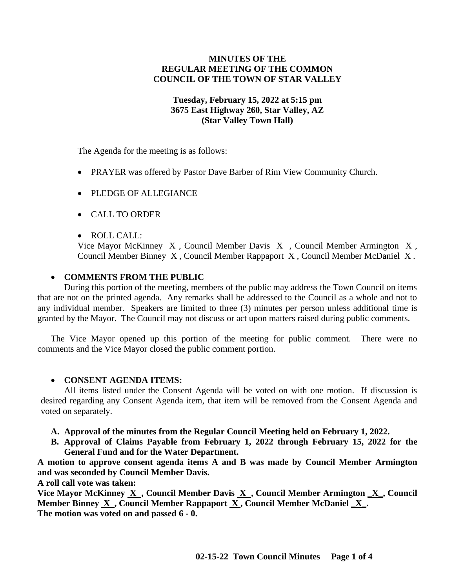## **MINUTES OF THE REGULAR MEETING OF THE COMMON COUNCIL OF THE TOWN OF STAR VALLEY**

## **Tuesday, February 15, 2022 at 5:15 pm 3675 East Highway 260, Star Valley, AZ (Star Valley Town Hall)**

The Agenda for the meeting is as follows:

- PRAYER was offered by Pastor Dave Barber of Rim View Community Church.
- PLEDGE OF ALLEGIANCE
- CALL TO ORDER
- ROLL CALL:

Vice Mayor McKinney X , Council Member Davis X , Council Member Armington X , Council Member Binney X , Council Member Rappaport X , Council Member McDaniel X .

## • **COMMENTS FROM THE PUBLIC**

During this portion of the meeting, members of the public may address the Town Council on items that are not on the printed agenda. Any remarks shall be addressed to the Council as a whole and not to any individual member. Speakers are limited to three (3) minutes per person unless additional time is granted by the Mayor. The Council may not discuss or act upon matters raised during public comments.

The Vice Mayor opened up this portion of the meeting for public comment. There were no comments and the Vice Mayor closed the public comment portion.

## • **CONSENT AGENDA ITEMS:**

All items listed under the Consent Agenda will be voted on with one motion. If discussion is desired regarding any Consent Agenda item, that item will be removed from the Consent Agenda and voted on separately.

- **A. Approval of the minutes from the Regular Council Meeting held on February 1, 2022.**
- **B. Approval of Claims Payable from February 1, 2022 through February 15, 2022 for the General Fund and for the Water Department.**

**A motion to approve consent agenda items A and B was made by Council Member Armington and was seconded by Council Member Davis.**

**A roll call vote was taken:**

**Vice Mayor McKinney X , Council Member Davis X , Council Member Armington \_X\_, Council Member Binney X , Council Member Rappaport X , Council Member McDaniel \_X\_. The motion was voted on and passed 6 - 0.**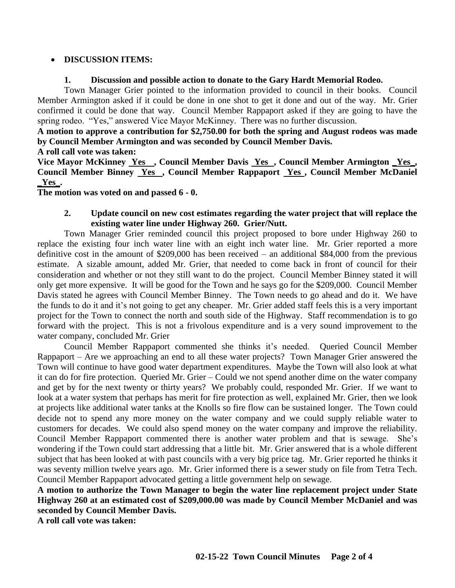## • **DISCUSSION ITEMS:**

#### **1. Discussion and possible action to donate to the Gary Hardt Memorial Rodeo.**

Town Manager Grier pointed to the information provided to council in their books. Council Member Armington asked if it could be done in one shot to get it done and out of the way. Mr. Grier confirmed it could be done that way. Council Member Rappaport asked if they are going to have the spring rodeo. "Yes," answered Vice Mayor McKinney. There was no further discussion.

**A motion to approve a contribution for \$2,750.00 for both the spring and August rodeos was made by Council Member Armington and was seconded by Council Member Davis.**

**A roll call vote was taken:**

**Vice Mayor McKinney Yes , Council Member Davis Yes , Council Member Armington \_Yes\_, Council Member Binney Yes , Council Member Rappaport Yes , Council Member McDaniel \_Yes\_.**

**The motion was voted on and passed 6 - 0.**

#### **2. Update council on new cost estimates regarding the water project that will replace the existing water line under Highway 260. Grier/Nutt.**

Town Manager Grier reminded council this project proposed to bore under Highway 260 to replace the existing four inch water line with an eight inch water line. Mr. Grier reported a more definitive cost in the amount of \$209,000 has been received – an additional \$84,000 from the previous estimate. A sizable amount, added Mr. Grier, that needed to come back in front of council for their consideration and whether or not they still want to do the project. Council Member Binney stated it will only get more expensive. It will be good for the Town and he says go for the \$209,000. Council Member Davis stated he agrees with Council Member Binney. The Town needs to go ahead and do it. We have the funds to do it and it's not going to get any cheaper. Mr. Grier added staff feels this is a very important project for the Town to connect the north and south side of the Highway. Staff recommendation is to go forward with the project. This is not a frivolous expenditure and is a very sound improvement to the water company, concluded Mr. Grier

Council Member Rappaport commented she thinks it's needed. Queried Council Member Rappaport – Are we approaching an end to all these water projects? Town Manager Grier answered the Town will continue to have good water department expenditures. Maybe the Town will also look at what it can do for fire protection. Queried Mr. Grier – Could we not spend another dime on the water company and get by for the next twenty or thirty years? We probably could, responded Mr. Grier. If we want to look at a water system that perhaps has merit for fire protection as well, explained Mr. Grier, then we look at projects like additional water tanks at the Knolls so fire flow can be sustained longer. The Town could decide not to spend any more money on the water company and we could supply reliable water to customers for decades. We could also spend money on the water company and improve the reliability. Council Member Rappaport commented there is another water problem and that is sewage. She's wondering if the Town could start addressing that a little bit. Mr. Grier answered that is a whole different subject that has been looked at with past councils with a very big price tag. Mr. Grier reported he thinks it was seventy million twelve years ago. Mr. Grier informed there is a sewer study on file from Tetra Tech. Council Member Rappaport advocated getting a little government help on sewage.

**A motion to authorize the Town Manager to begin the water line replacement project under State Highway 260 at an estimated cost of \$209,000.00 was made by Council Member McDaniel and was seconded by Council Member Davis.**

**A roll call vote was taken:**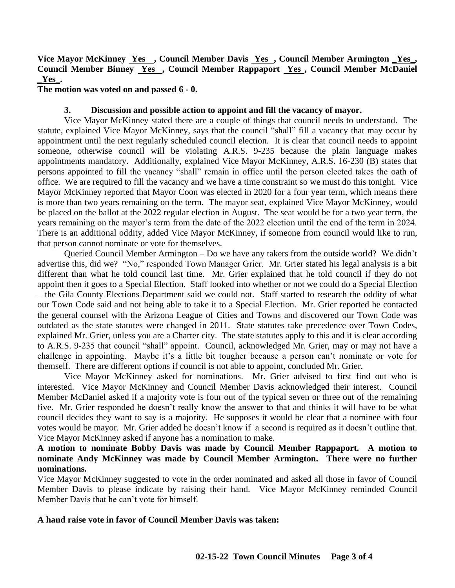## **Vice Mayor McKinney Yes , Council Member Davis Yes , Council Member Armington \_Yes\_, Council Member Binney Yes , Council Member Rappaport Yes , Council Member McDaniel \_Yes\_.**

**The motion was voted on and passed 6 - 0.**

#### **3. Discussion and possible action to appoint and fill the vacancy of mayor.**

Vice Mayor McKinney stated there are a couple of things that council needs to understand. The statute, explained Vice Mayor McKinney, says that the council "shall" fill a vacancy that may occur by appointment until the next regularly scheduled council election. It is clear that council needs to appoint someone, otherwise council will be violating A.R.S. 9-235 because the plain language makes appointments mandatory. Additionally, explained Vice Mayor McKinney, A.R.S. 16-230 (B) states that persons appointed to fill the vacancy "shall" remain in office until the person elected takes the oath of office. We are required to fill the vacancy and we have a time constraint so we must do this tonight. Vice Mayor McKinney reported that Mayor Coon was elected in 2020 for a four year term, which means there is more than two years remaining on the term. The mayor seat, explained Vice Mayor McKinney, would be placed on the ballot at the 2022 regular election in August. The seat would be for a two year term, the years remaining on the mayor's term from the date of the 2022 election until the end of the term in 2024. There is an additional oddity, added Vice Mayor McKinney, if someone from council would like to run, that person cannot nominate or vote for themselves.

Queried Council Member Armington – Do we have any takers from the outside world? We didn't advertise this, did we? "No," responded Town Manager Grier. Mr. Grier stated his legal analysis is a bit different than what he told council last time. Mr. Grier explained that he told council if they do not appoint then it goes to a Special Election. Staff looked into whether or not we could do a Special Election – the Gila County Elections Department said we could not. Staff started to research the oddity of what our Town Code said and not being able to take it to a Special Election. Mr. Grier reported he contacted the general counsel with the Arizona League of Cities and Towns and discovered our Town Code was outdated as the state statutes were changed in 2011. State statutes take precedence over Town Codes, explained Mr. Grier, unless you are a Charter city. The state statutes apply to this and it is clear according to A.R.S. 9-235 that council "shall" appoint. Council, acknowledged Mr. Grier, may or may not have a challenge in appointing. Maybe it's a little bit tougher because a person can't nominate or vote for themself. There are different options if council is not able to appoint, concluded Mr. Grier.

Vice Mayor McKinney asked for nominations. Mr. Grier advised to first find out who is interested. Vice Mayor McKinney and Council Member Davis acknowledged their interest. Council Member McDaniel asked if a majority vote is four out of the typical seven or three out of the remaining five. Mr. Grier responded he doesn't really know the answer to that and thinks it will have to be what council decides they want to say is a majority. He supposes it would be clear that a nominee with four votes would be mayor. Mr. Grier added he doesn't know if a second is required as it doesn't outline that. Vice Mayor McKinney asked if anyone has a nomination to make.

**A motion to nominate Bobby Davis was made by Council Member Rappaport. A motion to nominate Andy McKinney was made by Council Member Armington. There were no further nominations.**

Vice Mayor McKinney suggested to vote in the order nominated and asked all those in favor of Council Member Davis to please indicate by raising their hand. Vice Mayor McKinney reminded Council Member Davis that he can't vote for himself.

#### **A hand raise vote in favor of Council Member Davis was taken:**